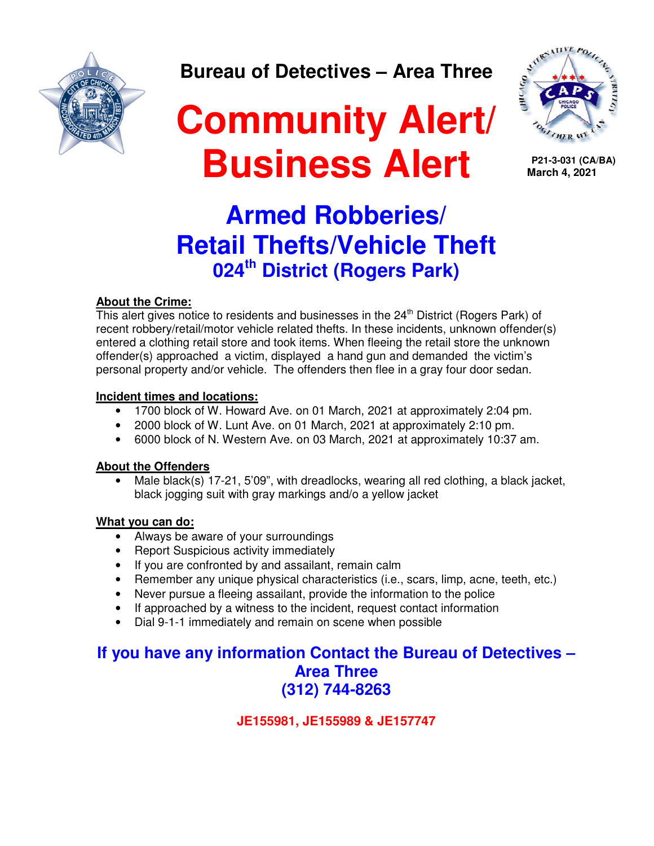

**Bureau of Detectives – Area Three** 

# **Community Alert/ Business Alert**



 **P21-3-031 (CA/BA) March 4, 2021**

## **Armed Robberies/ Retail Thefts/Vehicle Theft 024th District (Rogers Park)**

### **About the Crime:**

This alert gives notice to residents and businesses in the  $24<sup>th</sup>$  District (Rogers Park) of recent robbery/retail/motor vehicle related thefts. In these incidents, unknown offender(s) entered a clothing retail store and took items. When fleeing the retail store the unknown offender(s) approached a victim, displayed a hand gun and demanded the victim's personal property and/or vehicle. The offenders then flee in a gray four door sedan.

### **Incident times and locations:**

- 1700 block of W. Howard Ave. on 01 March, 2021 at approximately 2:04 pm.
- 2000 block of W. Lunt Ave. on 01 March, 2021 at approximately 2:10 pm.
- 6000 block of N. Western Ave. on 03 March, 2021 at approximately 10:37 am.

### **About the Offenders**

Male black(s) 17-21, 5'09", with dreadlocks, wearing all red clothing, a black jacket, black jogging suit with gray markings and/o a yellow jacket

### **What you can do:**

- Always be aware of your surroundings
- Report Suspicious activity immediately
- If you are confronted by and assailant, remain calm
- Remember any unique physical characteristics (i.e., scars, limp, acne, teeth, etc.)
- Never pursue a fleeing assailant, provide the information to the police
- If approached by a witness to the incident, request contact information
- Dial 9-1-1 immediately and remain on scene when possible

### **If you have any information Contact the Bureau of Detectives – Area Three (312) 744-8263**

**JE155981, JE155989 & JE157747**